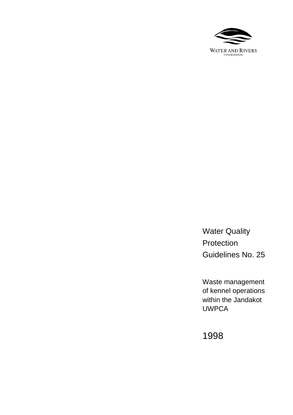

Water Quality Protection Guidelines No. 25

Waste management of kennel operations within the Jandakot UWPCA

1998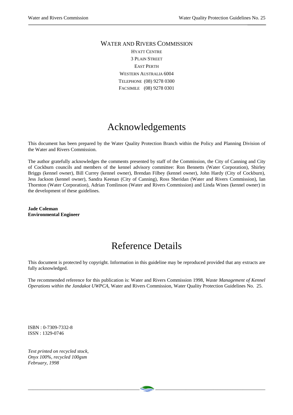### WATER AND RIVERS COMMISSION HYATT CENTRE 3 PLAIN STREET EAST PERTH WESTERN AUSTRALIA 6004 TELEPHONE (08) 9278 0300 FACSIMILE (08) 9278 0301

# Acknowledgements

This document has been prepared by the Water Quality Protection Branch within the Policy and Planning Division of the Water and Rivers Commission.

The author gratefully acknowledges the comments presented by staff of the Commission, the City of Canning and City of Cockburn councils and members of the kennel advisory committee: Ron Bennetts (Water Corporation), Shirley Briggs (kennel owner), Bill Currey (kennel owner), Brendan Filbey (kennel owner), John Hardy (City of Cockburn), Jess Jackson (kennel owner), Sandra Keenan (City of Canning), Ross Sheridan (Water and Rivers Commission), Ian Thornton (Water Corporation), Adrian Tomlinson (Water and Rivers Commission) and Linda Wines (kennel owner) in the development of these guidelines.

**Jade Coleman Environmental Engineer**

# Reference Details

This document is protected by copyright. Information in this guideline may be reproduced provided that any extracts are fully acknowledged.

The recommended reference for this publication is: Water and Rivers Commission 1998, *Waste Management of Kennel Operations within the Jandakot UWPCA*, Water and Rivers Commission, Water Quality Protection Guidelines No. 25.

ISBN : 0-7309-7332-8 ISSN : 1329-0746

*Text printed on recycled stock, Onyx 100%, recycled 100gsm February, 1998*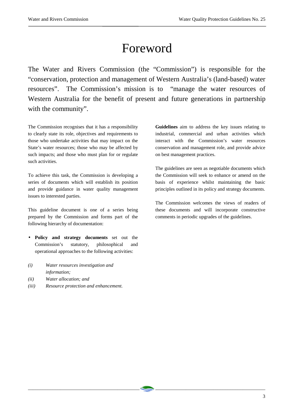# Foreword

The Water and Rivers Commission (the "Commission") is responsible for the "conservation, protection and management of Western Australia's (land-based) water resources". The Commission's mission is to "manage the water resources of Western Australia for the benefit of present and future generations in partnership with the community".

\_\_\_\_\_\_\_\_\_\_\_\_\_\_\_\_\_\_\_\_\_\_\_\_\_\_\_\_\_\_\_\_\_\_\_\_\_\_\_\_\_\_\_\_\_ \_\_\_\_\_\_\_\_\_\_\_\_\_\_\_\_\_\_\_\_\_\_\_\_\_\_\_\_\_\_\_\_\_\_\_\_\_\_\_\_\_\_\_\_\_

The Commission recognises that it has a responsibility to clearly state its role, objectives and requirements to those who undertake activities that may impact on the State's water resources; those who may be affected by such impacts; and those who must plan for or regulate such activities.

To achieve this task, the Commission is developing a series of documents which will establish its position and provide guidance in water quality management issues to interested parties.

This guideline document is one of a series being prepared by the Commission and forms part of the following hierarchy of documentation:

- **Policy and strategy documents** set out the Commission's statutory, philosophical and operational approaches to the following activities:
- *(i) Water resources investigation and information;*
- *(ii) Water allocation; and*
- *(iii) Resource protection and enhancement.*

**Guidelines** aim to address the key issues relating to industrial, commercial and urban activities which interact with the Commission's water resources conservation and management role, and provide advice on best management practices.

The guidelines are seen as negotiable documents which the Commission will seek to enhance or amend on the basis of experience whilst maintaining the basic principles outlined in its policy and strategy documents.

The Commission welcomes the views of readers of these documents and will incorporate constructive comments in periodic upgrades of the guidelines.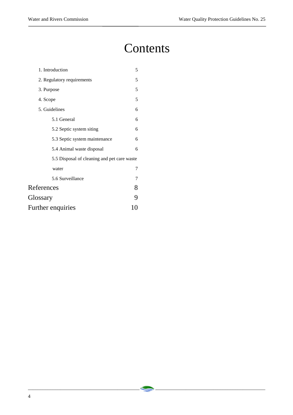# **Contents**

\_\_\_\_\_\_\_\_\_\_\_\_\_\_\_\_\_\_\_\_\_\_\_\_\_\_\_\_\_\_\_\_\_\_\_\_\_\_\_\_\_\_\_\_\_ \_\_\_\_\_\_\_\_\_\_\_\_\_\_\_\_\_\_\_\_\_\_\_\_\_\_\_\_\_\_\_\_\_\_\_\_\_\_\_\_\_\_\_\_\_

| 1. Introduction                             |   |  |  |
|---------------------------------------------|---|--|--|
| 2. Regulatory requirements                  |   |  |  |
| 3. Purpose                                  |   |  |  |
| 4. Scope                                    | 5 |  |  |
| 5. Guidelines                               |   |  |  |
| 5.1 General                                 | 6 |  |  |
| 5.2 Septic system siting                    | 6 |  |  |
| 5.3 Septic system maintenance               | 6 |  |  |
| 5.4 Animal waste disposal                   | 6 |  |  |
| 5.5 Disposal of cleaning and pet care waste |   |  |  |
| water                                       | 7 |  |  |
| 5.6 Surveillance                            | 7 |  |  |
| References                                  |   |  |  |
| Glossary                                    | 9 |  |  |
| Further enquiries                           |   |  |  |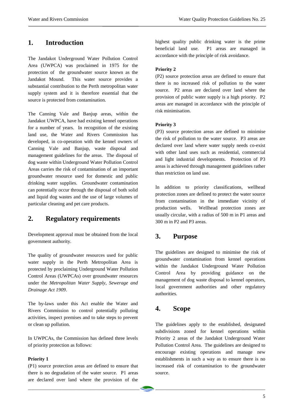# **1. Introduction**

The Jandakot Underground Water Pollution Control Area (UWPCA) was proclaimed in 1975 for the protection of the groundwater source known as the Jandakot Mound. This water source provides a substantial contribution to the Perth metropolitan water supply system and it is therefore essential that the source is protected from contamination.

The Canning Vale and Banjup areas, within the Jandakot UWPCA, have had existing kennel operations for a number of years. In recognition of the existing land use, the Water and Rivers Commission has developed, in co-operation with the kennel owners of Canning Vale and Banjup, waste disposal and management guidelines for the areas. The disposal of dog waste within Underground Water Pollution Control Areas carries the risk of contamination of an important groundwater resource used for domestic and public drinking water supplies. Groundwater contamination can potentially occur through the disposal of both solid and liquid dog wastes and the use of large volumes of particular cleaning and pet care products.

# **2. Regulatory requirements**

Development approval must be obtained from the local government authority.

The quality of groundwater resources used for public water supply in the Perth Metropolitan Area is protected by proclaiming Underground Water Pollution Control Areas (UWPCAs) over groundwater resources under the *Metropolitan Water Supply, Sewerage and Drainage Act 1909*.

The by-laws under this Act enable the Water and Rivers Commission to control potentially polluting activities, inspect premises and to take steps to prevent or clean up pollution.

In UWPCAs, the Commission has defined three levels of priority protection as follows:

#### **Priority 1**

(P1) source protection areas are defined to ensure that there is no degradation of the water source. P1 areas are declared over land where the provision of the highest quality public drinking water is the prime beneficial land use. P1 areas are managed in accordance with the principle of risk avoidance.

### **Priority 2**

(P2) source protection areas are defined to ensure that there is no increased risk of pollution to the water source. P2 areas are declared over land where the provision of public water supply is a high priority. P2 areas are managed in accordance with the principle of risk minimisation.

#### **Priority 3**

(P3) source protection areas are defined to minimise the risk of pollution to the water source. P3 areas are declared over land where water supply needs co-exist with other land uses such as residential, commercial and light industrial developments. Protection of P3 areas is achieved through management guidelines rather than restriction on land use.

In addition to priority classifications, wellhead protection zones are defined to protect the water source from contamination in the immediate vicinity of production wells. Wellhead protection zones are usually circular, with a radius of 500 m in P1 areas and 300 m in P2 and P3 areas.

# **3. Purpose**

The guidelines are designed to minimise the risk of groundwater contamination from kennel operations within the Jandakot Underground Water Pollution Control Area by providing guidance on the management of dog waste disposal to kennel operators, local government authorities and other regulatory authorities.

## **4. Scope**

\_\_\_\_\_\_\_\_\_\_\_\_\_\_\_\_\_\_\_\_\_\_\_\_\_\_\_\_\_\_\_\_\_\_\_\_\_\_\_\_\_\_\_\_\_ \_\_\_\_\_\_\_\_\_\_\_\_\_\_\_\_\_\_\_\_\_\_\_\_\_\_\_\_\_\_\_\_\_\_\_\_\_\_\_\_\_\_\_\_\_

The guidelines apply to the established, designated subdivisions zoned for kennel operations within Priority 2 areas of the Jandakot Underground Water Pollution Control Area. The guidelines are designed to encourage existing operations and manage new establishments in such a way as to ensure there is no increased risk of contamination to the groundwater source.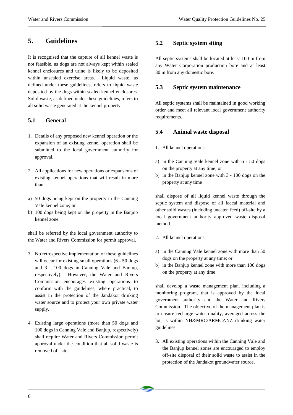## **5. Guidelines**

It is recognised that the capture of all kennel waste is not feasible, as dogs are not always kept within sealed kennel enclosures and urine is likely to be deposited within unsealed exercise areas. Liquid waste, as defined under these guidelines, refers to liquid waste deposited by the dogs within sealed kennel enclosures. Solid waste, as defined under these guidelines, refers to all solid waste generated at the kennel property.

### **5.1 General**

- 1. Details of any proposed new kennel operation or the expansion of an existing kennel operation shall be submitted to the local government authority for approval.
- 2. All applications for new operations or expansions of existing kennel operations that will result in more than
- a) 50 dogs being kept on the property in the Canning Vale kennel zone; or
- b) 100 dogs being kept on the property in the Banjup kennel zone

shall be referred by the local government authority to the Water and Rivers Commission for permit approval.

- 3. No retrospective implementation of these guidelines will occur for existing small operations (6 - 50 dogs and 3 - 100 dogs in Canning Vale and Banjup, respectively). However, the Water and Rivers Commission encourages existing operations to conform with the guidelines, where practical, to assist in the protection of the Jandakot drinking water source and to protect your own private water supply.
- 4. Existing large operations (more than 50 dogs and 100 dogs in Canning Vale and Banjup, respectively) shall require Water and Rivers Commission permit approval under the condition that all solid waste is removed off-site.

#### **5.2 Septic system siting**

All septic systems shall be located at least 100 m from any Water Corporation production bore and at least 30 m from any domestic bore.

#### **5.3 Septic system maintenance**

All septic systems shall be maintained in good working order and meet all relevant local government authority requirements.

#### **5.4 Animal waste disposal**

- 1. All kennel operations
- a) in the Canning Vale kennel zone with 6 50 dogs on the property at any time; or
- b) in the Banjup kennel zone with 3 100 dogs on the property at any time

shall dispose of all liquid kennel waste through the septic system and dispose of all faecal material and other solid wastes (including uneaten feed) off-site by a local government authority approved waste disposal method.

- 2. All kennel operations
- a) in the Canning Vale kennel zone with more than 50 dogs on the property at any time; or
- b) in the Banjup kennel zone with more than 100 dogs on the property at any time

shall develop a waste management plan, including a monitoring program, that is approved by the local government authority and the Water and Rivers Commission. The objective of the management plan is to ensure recharge water quality, averaged across the lot, is within NH&MRC/ARMCANZ drinking water guidelines.

3. All existing operations within the Canning Vale and the Banjup kennel zones are encouraged to employ off-site disposal of their solid waste to assist in the protection of the Jandakot groundwater source.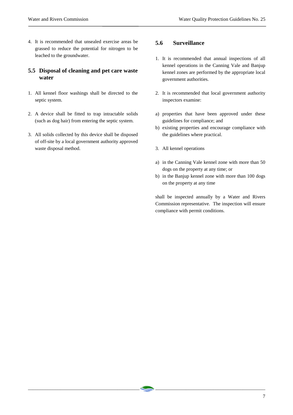4. It is recommended that unsealed exercise areas be grassed to reduce the potential for nitrogen to be leached to the groundwater.

### **5.5 Disposal of cleaning and pet care waste water**

- 1. All kennel floor washings shall be directed to the septic system.
- 2. A device shall be fitted to trap intractable solids (such as dog hair) from entering the septic system.
- 3. All solids collected by this device shall be disposed of off-site by a local government authority approved waste disposal method.

### **5.6 Surveillance**

- 1. It is recommended that annual inspections of all kennel operations in the Canning Vale and Banjup kennel zones are performed by the appropriate local government authorities.
- 2. It is recommended that local government authority inspectors examine:
- a) properties that have been approved under these guidelines for compliance; and
- b) existing properties and encourage compliance with the guidelines where practical.
- 3. All kennel operations

\_\_\_\_\_\_\_\_\_\_\_\_\_\_\_\_\_\_\_\_\_\_\_\_\_\_\_\_\_\_\_\_\_\_\_\_\_\_\_\_\_\_\_\_\_ \_\_\_\_\_\_\_\_\_\_\_\_\_\_\_\_\_\_\_\_\_\_\_\_\_\_\_\_\_\_\_\_\_\_\_\_\_\_\_\_\_\_\_\_\_

- a) in the Canning Vale kennel zone with more than 50 dogs on the property at any time; or
- b) in the Banjup kennel zone with more than 100 dogs on the property at any time

shall be inspected annually by a Water and Rivers Commission representative. The inspection will ensure compliance with permit conditions.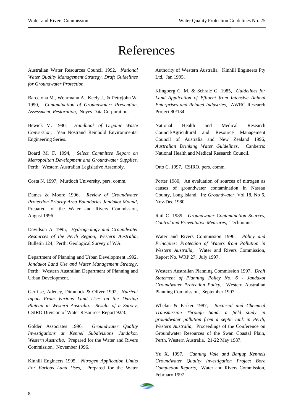# References

\_\_\_\_\_\_\_\_\_\_\_\_\_\_\_\_\_\_\_\_\_\_\_\_\_\_\_\_\_\_\_\_\_\_\_\_\_\_\_\_\_\_\_\_\_ \_\_\_\_\_\_\_\_\_\_\_\_\_\_\_\_\_\_\_\_\_\_\_\_\_\_\_\_\_\_\_\_\_\_\_\_\_\_\_\_\_\_\_\_\_

Australian Water Resources Council 1992, *National Water Quality Management Strategy, Draft Guidelines for Groundwater Protection*.

Barcelona M., Wehrmann A., Keely J., & Pettyjohn W. 1990, *Contamination of Groundwater: Prevention, Assessment, Restoration,* Noyes Data Corporation.

Bewick M. 1980, *Handbook of Organic Waste Conversion,* Van Nostrand Reinhold Environmental Engineering Series.

Board M. F. 1994, *Select Committee Report on Metropolitan Development and Groundwater Supplies,* Perth: Western Australian Legislative Assembly.

Costa N. 1997, Murdoch University, pers. comm.

Dames & Moore 1996, *Review of Groundwater Protection Priority Area Boundaries Jandakot Mound,* Prepared for the Water and Rivers Commission, August 1996.

Davidson A. 1995, *Hydrogeology and Groundwater Resources of the Perth Region, Western Australia,* Bulletin 124, Perth: Geological Survey of WA.

Department of Planning and Urban Development 1992, *Jandakot Land Use and Water Management Strategy,* Perth: Western Australian Department of Planning and Urban Development.

Gerritse, Adeney, Dimmock & Oliver 1992, *Nutrient Inputs From Various Land Uses on the Darling Plateau in Western Australia. Results of a Survey*, CSIRO Division of Water Resources Report 92/3.

Golder Associates 1996, *Groundwater Quality Investigations at Kennel Subdivisions Jandakot, Western Australia,* Prepared for the Water and Rivers Commission, November 1996.

Kinhill Engineers 1995, *Nitrogen Application Limits For Various Land Uses*, Prepared for the Water Authority of Western Australia, Kinhill Engineers Pty Ltd, Jan 1995.

Klingberg C. M. & Schrale G. 1985, *Guidelines for Land Application of Effluent from Intensive Animal Enterprises and Related Industries,* AWRC Research Project 80/134.

National Health and Medical Research Council/Agricultural and Resource Management Council of Australia and New Zealand 1996, *Australian Drinking Water Guidelines,* Canberra: National Health and Medical Research Council.

Otto C. 1997, CSIRO, pers. comm.

Porter 1980, An evaluation of sources of nitrogen as causes of groundwater contamination in Nassau County, Long Island, In: *Groundwater*, Vol 18, No 6, Nov-Dec 1980.

Rail C. 1989, *Groundwater Contamination Sources, Control and Preventative Measures,* Technomic.

Water and Rivers Commission 1996, *Policy and Principles: Protection of Waters from Pollution in Western Australia,* Water and Rivers Commission, Report No. WRP 27, July 1997.

Western Australian Planning Commission 1997, *Draft Statement of Planning Policy No. 6 - Jandakot Groundwater Protection Policy,* Western Australian Planning Commission, September 1997.

Whelan & Parker 1987, *Bacterial and Chemical Transmission Through Sand: a field study in groundwater pollution from a septic tank in Perth, Western Australia,* Proceedings of the Conference on Groundwater Resources of the Swan Coastal Plain, Perth, Western Australia, 21-22 May 1987.

Yu X. 1997, *Canning Vale and Banjup Kennels Groundwater Quality Investigation Project Bore Completion Reports*, Water and Rivers Commission, February 1997.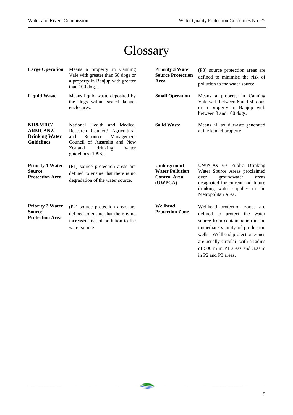# **Glossary**

| <b>Large Operation</b>                                                  | Means a property in Canning<br>Vale with greater than 50 dogs or<br>a property in Banjup with greater<br>than 100 dogs.                                                              | <b>Priority 3 Water</b><br><b>Source Protection</b><br>Area             | (P3) source protection areas are<br>defined to minimise the risk of<br>pollution to the water source.                                                                                                                                                                                         |
|-------------------------------------------------------------------------|--------------------------------------------------------------------------------------------------------------------------------------------------------------------------------------|-------------------------------------------------------------------------|-----------------------------------------------------------------------------------------------------------------------------------------------------------------------------------------------------------------------------------------------------------------------------------------------|
| <b>Liquid Waste</b>                                                     | Means liquid waste deposited by<br>the dogs within sealed kennel<br>enclosures.                                                                                                      | <b>Small Operation</b>                                                  | Means a property in Canning<br>Vale with between 6 and 50 dogs<br>or a property in Banjup with<br>between 3 and 100 dogs.                                                                                                                                                                     |
| NH&MRC/<br><b>ARMCANZ</b><br><b>Drinking Water</b><br><b>Guidelines</b> | National Health and Medical<br>Research Council/ Agricultural<br>Resource<br>Management<br>and<br>Council of Australia and New<br>Zealand<br>drinking<br>water<br>guidelines (1996). | <b>Solid Waste</b>                                                      | Means all solid waste generated<br>at the kennel property                                                                                                                                                                                                                                     |
| <b>Priority 1 Water</b><br><b>Source</b><br><b>Protection Area</b>      | (P1) source protection areas are<br>defined to ensure that there is no<br>degradation of the water source.                                                                           | Underground<br><b>Water Pollution</b><br><b>Control Area</b><br>(UWPCA) | UWPCAs are Public Drinking<br>Water Source Areas proclaimed<br>groundwater<br>over<br>areas<br>designated for current and future<br>drinking water supplies in the<br>Metropolitan Area.                                                                                                      |
| <b>Priority 2 Water</b><br>Source<br><b>Protection Area</b>             | (P2) source protection areas are<br>defined to ensure that there is no<br>increased risk of pollution to the<br>water source.                                                        | Wellhead<br><b>Protection Zone</b>                                      | Wellhead protection zones are<br>defined to protect the water<br>source from contamination in the<br>immediate vicinity of production<br>wells. Wellhead protection zones<br>are usually circular, with a radius<br>of $500 \text{ m}$ in P1 areas and $300 \text{ m}$<br>in P2 and P3 areas. |

\_\_\_\_\_\_\_\_\_\_\_\_\_\_\_\_\_\_\_\_\_\_\_\_\_\_\_\_\_\_\_\_\_\_\_\_\_\_\_\_\_\_\_\_\_ \_\_\_\_\_\_\_\_\_\_\_\_\_\_\_\_\_\_\_\_\_\_\_\_\_\_\_\_\_\_\_\_\_\_\_\_\_\_\_\_\_\_\_\_\_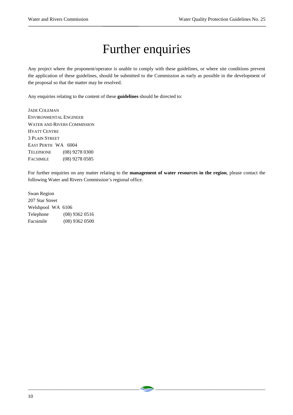# Further enquiries

Any project where the proponent/operator is unable to comply with these guidelines, or where site conditions prevent the application of these guidelines, should be submitted to the Commission as early as possible in the development of the proposal so that the matter may be resolved.

Any enquiries relating to the content of these **guidelines** should be directed to:

JADE COLEMAN ENVIRONMENTAL ENGINEER WATER AND RIVERS COMMISSION HYATT CENTRE 3 PLAIN STREET EAST PERTH WA 6004 TELEPHONE (08) 9278 0300 FACSIMILE (08) 9278 0585

For further enquiries on any matter relating to the **management of water resources in the region**, please contact the following Water and Rivers Commission's regional office.

\_\_\_\_\_\_\_\_\_\_\_\_\_\_\_\_\_\_\_\_\_\_\_\_\_\_\_\_\_\_\_\_\_\_\_\_\_\_\_\_\_\_\_\_\_ \_\_\_\_\_\_\_\_\_\_\_\_\_\_\_\_\_\_\_\_\_\_\_\_\_\_\_\_\_\_\_\_\_\_\_\_\_\_\_\_\_\_\_\_\_

Swan Region 207 Star Street Welshpool WA 6106 Telephone (08) 9362 0516 Facsimile (08) 9362 0500

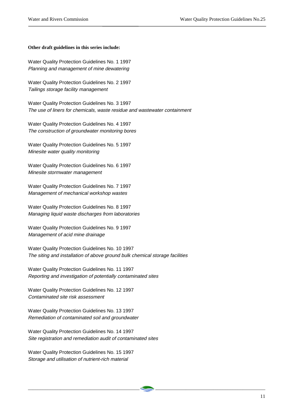#### **Other draft guidelines in this series include:**

Water Quality Protection Guidelines No. 1 1997 Planning and management of mine dewatering

Water Quality Protection Guidelines No. 2 1997 Tailings storage facility management

Water Quality Protection Guidelines No. 3 1997 The use of liners for chemicals, waste residue and wastewater containment

Water Quality Protection Guidelines No. 4 1997 The construction of groundwater monitoring bores

Water Quality Protection Guidelines No. 5 1997 Minesite water quality monitoring

Water Quality Protection Guidelines No. 6 1997 Minesite stormwater management

Water Quality Protection Guidelines No. 7 1997 Management of mechanical workshop wastes

Water Quality Protection Guidelines No. 8 1997 Managing liquid waste discharges from laboratories

Water Quality Protection Guidelines No. 9 1997 Management of acid mine drainage

Water Quality Protection Guidelines No. 10 1997 The siting and installation of above ground bulk chemical storage facilities

Water Quality Protection Guidelines No. 11 1997 Reporting and investigation of potentially contaminated sites

Water Quality Protection Guidelines No. 12 1997 Contaminated site risk assessment

Water Quality Protection Guidelines No. 13 1997 Remediation of contaminated soil and groundwater

Water Quality Protection Guidelines No. 14 1997 Site registration and remediation audit of contaminated sites

\_\_\_\_\_\_\_\_\_\_\_\_\_\_\_\_\_\_\_\_\_\_\_\_\_\_\_\_\_\_\_\_\_\_\_\_\_\_\_\_\_\_\_\_\_ \_\_\_\_\_\_\_\_\_\_\_\_\_\_\_\_\_\_\_\_\_\_\_\_\_\_\_\_\_\_\_\_\_\_\_\_\_\_\_\_\_\_\_\_\_

Water Quality Protection Guidelines No. 15 1997 Storage and utilisation of nutrient-rich material